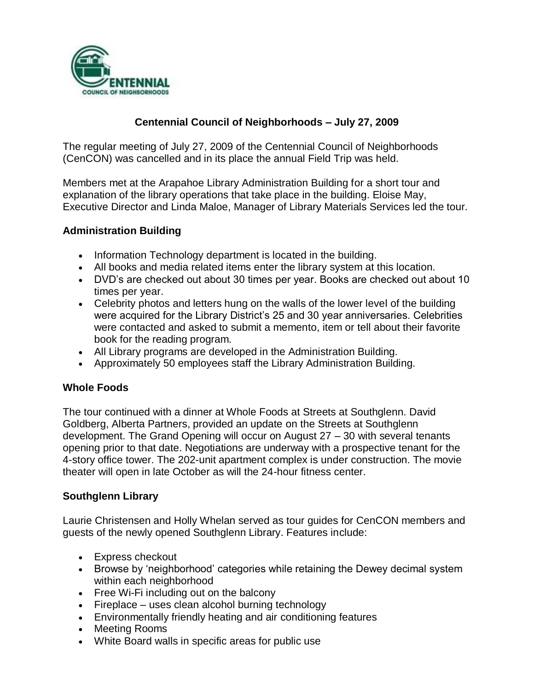

# **Centennial Council of Neighborhoods – July 27, 2009**

The regular meeting of July 27, 2009 of the Centennial Council of Neighborhoods (CenCON) was cancelled and in its place the annual Field Trip was held.

Members met at the Arapahoe Library Administration Building for a short tour and explanation of the library operations that take place in the building. Eloise May, Executive Director and Linda Maloe, Manager of Library Materials Services led the tour.

#### **Administration Building**

- Information Technology department is located in the building.
- All books and media related items enter the library system at this location.
- DVD's are checked out about 30 times per year. Books are checked out about 10 times per year.
- Celebrity photos and letters hung on the walls of the lower level of the building were acquired for the Library District's 25 and 30 year anniversaries. Celebrities were contacted and asked to submit a memento, item or tell about their favorite book for the reading program.
- All Library programs are developed in the Administration Building.
- Approximately 50 employees staff the Library Administration Building.

## **Whole Foods**

The tour continued with a dinner at Whole Foods at Streets at Southglenn. David Goldberg, Alberta Partners, provided an update on the Streets at Southglenn development. The Grand Opening will occur on August 27 – 30 with several tenants opening prior to that date. Negotiations are underway with a prospective tenant for the 4-story office tower. The 202-unit apartment complex is under construction. The movie theater will open in late October as will the 24-hour fitness center.

## **Southglenn Library**

Laurie Christensen and Holly Whelan served as tour guides for CenCON members and guests of the newly opened Southglenn Library. Features include:

- Express checkout
- Browse by 'neighborhood' categories while retaining the Dewey decimal system within each neighborhood
- Free Wi-Fi including out on the balcony
- $\bullet$  Fireplace uses clean alcohol burning technology
- Environmentally friendly heating and air conditioning features
- Meeting Rooms
- White Board walls in specific areas for public use